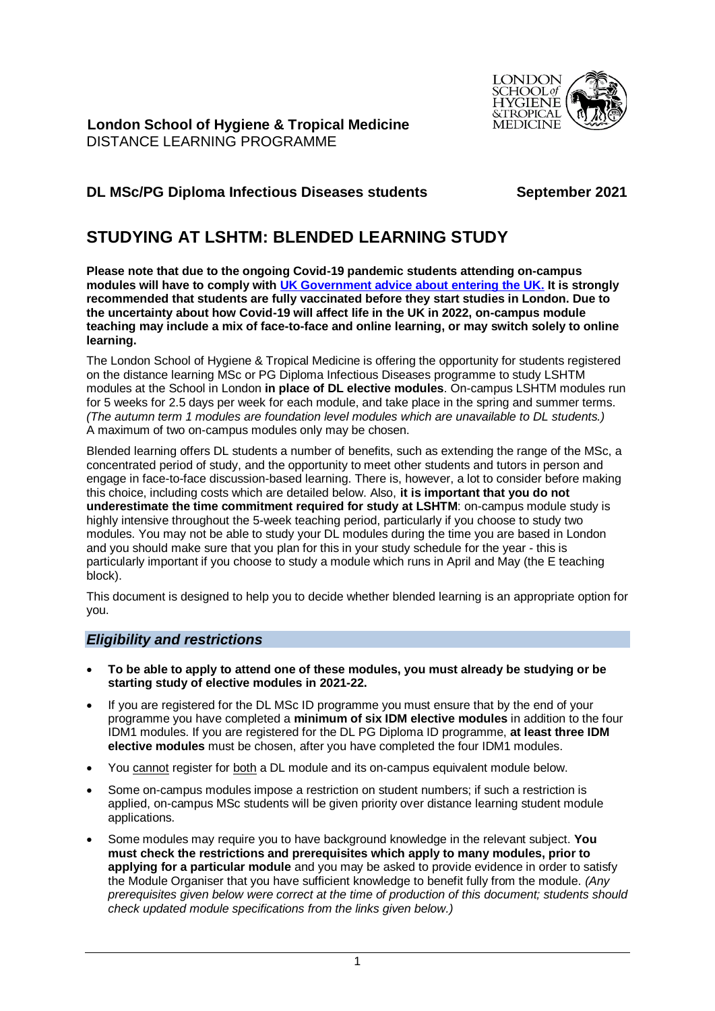

**London School of Hygiene & Tropical Medicine** DISTANCE LEARNING PROGRAMME

# **DL MSc/PG Diploma Infectious Diseases students September 2021**

# **STUDYING AT LSHTM: BLENDED LEARNING STUDY**

**Please note that due to the ongoing Covid-19 pandemic students attending on-campus modules will have to comply with [UK Government advice about entering the UK.](https://www.gov.uk/uk-border-control) It is strongly recommended that students are fully vaccinated before they start studies in London. Due to the uncertainty about how Covid-19 will affect life in the UK in 2022, on-campus module teaching may include a mix of face-to-face and online learning, or may switch solely to online learning.** 

The London School of Hygiene & Tropical Medicine is offering the opportunity for students registered on the distance learning MSc or PG Diploma Infectious Diseases programme to study LSHTM modules at the School in London **in place of DL elective modules**. On-campus LSHTM modules run for 5 weeks for 2.5 days per week for each module, and take place in the spring and summer terms. *(The autumn term 1 modules are foundation level modules which are unavailable to DL students.)* A maximum of two on-campus modules only may be chosen.

Blended learning offers DL students a number of benefits, such as extending the range of the MSc, a concentrated period of study, and the opportunity to meet other students and tutors in person and engage in face-to-face discussion-based learning. There is, however, a lot to consider before making this choice, including costs which are detailed below. Also, **it is important that you do not underestimate the time commitment required for study at LSHTM**: on-campus module study is highly intensive throughout the 5-week teaching period, particularly if you choose to study two modules. You may not be able to study your DL modules during the time you are based in London and you should make sure that you plan for this in your study schedule for the year - this is particularly important if you choose to study a module which runs in April and May (the E teaching block).

This document is designed to help you to decide whether blended learning is an appropriate option for you.

# *Eligibility and restrictions*

- **To be able to apply to attend one of these modules, you must already be studying or be starting study of elective modules in 2021-22.**
- If you are registered for the DL MSc ID programme you must ensure that by the end of your programme you have completed a **minimum of six IDM elective modules** in addition to the four IDM1 modules. If you are registered for the DL PG Diploma ID programme, **at least three IDM elective modules** must be chosen, after you have completed the four IDM1 modules.
- You cannot register for both a DL module and its on-campus equivalent module below.
- Some on-campus modules impose a restriction on student numbers; if such a restriction is applied, on-campus MSc students will be given priority over distance learning student module applications.
- Some modules may require you to have background knowledge in the relevant subject. **You must check the restrictions and prerequisites which apply to many modules, prior to applying for a particular module** and you may be asked to provide evidence in order to satisfy the Module Organiser that you have sufficient knowledge to benefit fully from the module. *(Any prerequisites given below were correct at the time of production of this document; students should check updated module specifications from the links given below.)*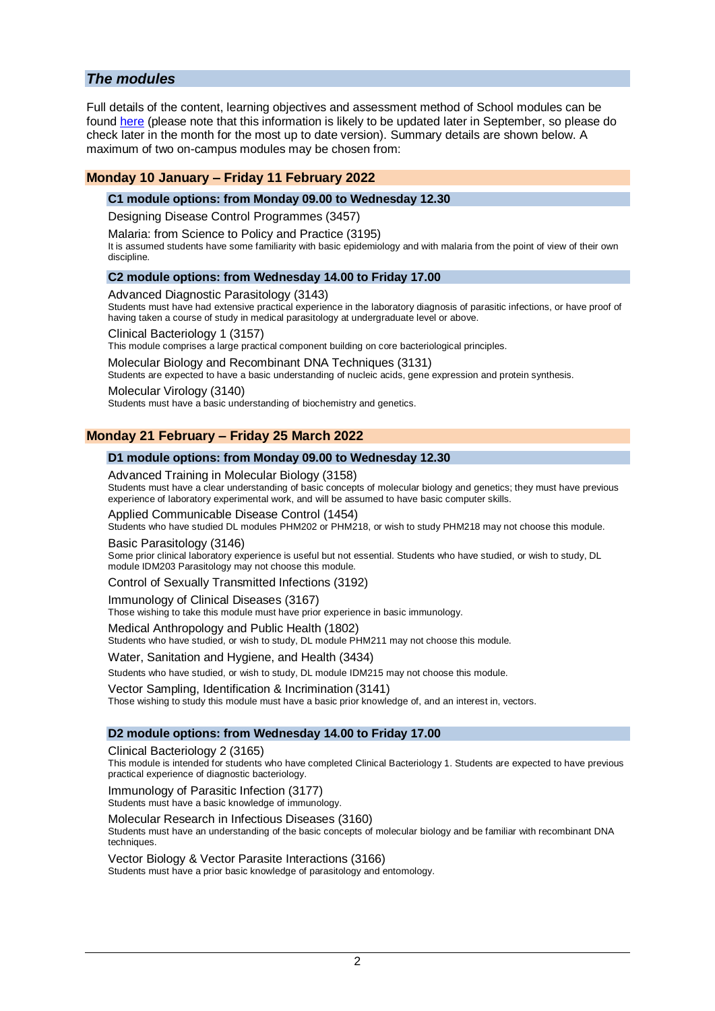# *The modules*

Full details of the content, learning objectives and assessment method of School modules can be found [here](https://www.lshtm.ac.uk/study/courses/masters-degrees/module-specifications) (please note that this information is likely to be updated later in September, so please do check later in the month for the most up to date version). Summary details are shown below. A maximum of two on-campus modules may be chosen from:

### **Monday 10 January – Friday 11 February 2022**

#### **C1 module options: from Monday 09.00 to Wednesday 12.30**

Designing Disease Control Programmes (3457)

Malaria: from Science to Policy and Practice (3195)

It is assumed students have some familiarity with basic epidemiology and with malaria from the point of view of their own discipline.

#### **C2 module options: from Wednesday 14.00 to Friday 17.00**

### Advanced Diagnostic Parasitology (3143)

Students must have had extensive practical experience in the laboratory diagnosis of parasitic infections, or have proof of having taken a course of study in medical parasitology at undergraduate level or above.

Clinical Bacteriology 1 (3157)

This module comprises a large practical component building on core bacteriological principles.

Molecular Biology and Recombinant DNA Techniques (3131)

Students are expected to have a basic understanding of nucleic acids, gene expression and protein synthesis.

#### Molecular Virology (3140)

Students must have a basic understanding of biochemistry and genetics.

### **Monday 21 February – Friday 25 March 2022**

#### **D1 module options: from Monday 09.00 to Wednesday 12.30**

#### Advanced Training in Molecular Biology (3158)

Students must have a clear understanding of basic concepts of molecular biology and genetics; they must have previous experience of laboratory experimental work, and will be assumed to have basic computer skills.

#### Applied Communicable Disease Control (1454)

Students who have studied DL modules PHM202 or PHM218, or wish to study PHM218 may not choose this module.

Basic Parasitology (3146)

Some prior clinical laboratory experience is useful but not essential. Students who have studied, or wish to study, DL module IDM203 Parasitology may not choose this module.

Control of Sexually Transmitted Infections (3192)

#### Immunology of Clinical Diseases (3167)

Those wishing to take this module must have prior experience in basic immunology.

#### Medical Anthropology and Public Health (1802)

Students who have studied, or wish to study, DL module PHM211 may not choose this module.

Water, Sanitation and Hygiene, and Health (3434)

Students who have studied, or wish to study, DL module IDM215 may not choose this module.

#### Vector Sampling, Identification & Incrimination (3141)

Those wishing to study this module must have a basic prior knowledge of, and an interest in, vectors.

#### **D2 module options: from Wednesday 14.00 to Friday 17.00**

Clinical Bacteriology 2 (3165)

This module is intended for students who have completed Clinical Bacteriology 1. Students are expected to have previous practical experience of diagnostic bacteriology.

Immunology of Parasitic Infection (3177)

Students must have a basic knowledge of immunology.

#### Molecular Research in Infectious Diseases (3160)

Students must have an understanding of the basic concepts of molecular biology and be familiar with recombinant DNA techniques.

Vector Biology & Vector Parasite Interactions (3166)

Students must have a prior basic knowledge of parasitology and entomology.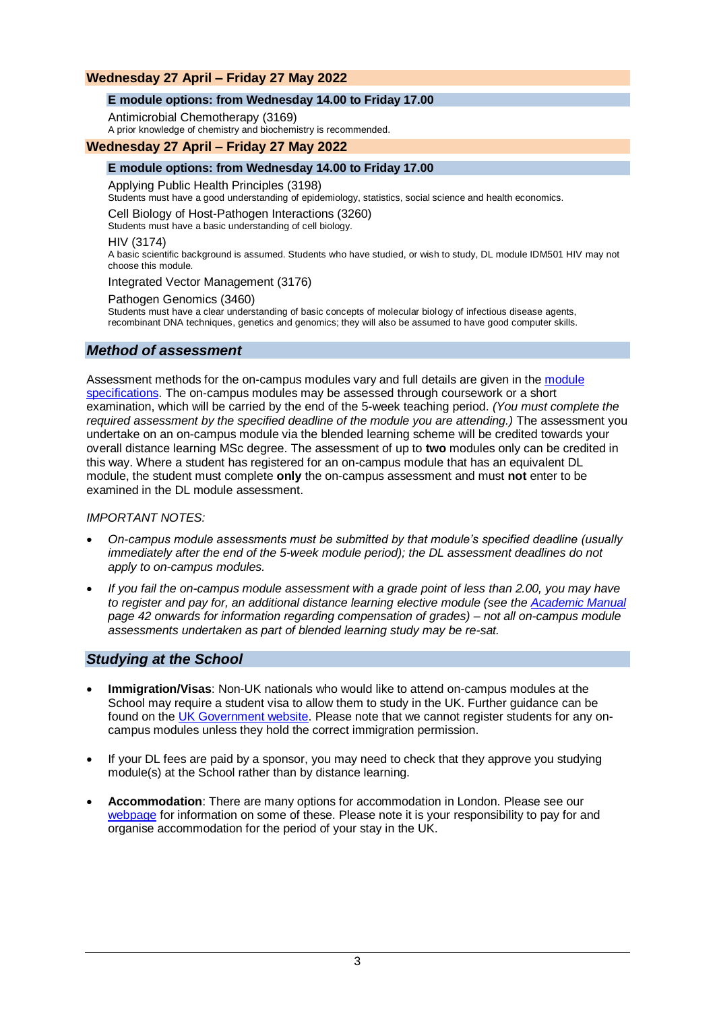# **Wednesday 27 April – Friday 27 May 2022**

### **E module options: from Wednesday 14.00 to Friday 17.00**

Antimicrobial Chemotherapy (3169)

A prior knowledge of chemistry and biochemistry is recommended.

### **Wednesday 27 April – Friday 27 May 2022**

### **E module options: from Wednesday 14.00 to Friday 17.00**

Applying Public Health Principles (3198)

Students must have a good understanding of epidemiology, statistics, social science and health economics.

Cell Biology of Host-Pathogen Interactions (3260)

Students must have a basic understanding of cell biology.

#### HIV (3174)

A basic scientific background is assumed. Students who have studied, or wish to study, DL module IDM501 HIV may not choose this module.

Integrated Vector Management (3176)

#### Pathogen Genomics (3460)

Students must have a clear understanding of basic concepts of molecular biology of infectious disease agents, recombinant DNA techniques, genetics and genomics; they will also be assumed to have good computer skills.

# *Method of assessment*

Assessment methods for the on-campus modules vary and full details are given in the [module](https://www.lshtm.ac.uk/study/courses/masters-degrees/module-specifications)  [specifications.](https://www.lshtm.ac.uk/study/courses/masters-degrees/module-specifications) The on-campus modules may be assessed through coursework or a short examination, which will be carried by the end of the 5-week teaching period. *(You must complete the required assessment by the specified deadline of the module you are attending.)* The assessment you undertake on an on-campus module via the blended learning scheme will be credited towards your overall distance learning MSc degree. The assessment of up to **two** modules only can be credited in this way. Where a student has registered for an on-campus module that has an equivalent DL module, the student must complete **only** the on-campus assessment and must **not** enter to be examined in the DL module assessment.

### *IMPORTANT NOTES:*

- *On-campus module assessments must be submitted by that module's specified deadline (usually immediately after the end of the 5-week module period); the DL assessment deadlines do not apply to on-campus modules.*
- *If you fail the on-campus module assessment with a grade point of less than 2.00, you may have to register and pay for, an additional distance learning elective module (see the [Academic Manual](https://www.lshtm.ac.uk/sites/default/files/academic-manual-chapter-08b.pdf) page 42 onwards for information regarding compensation of grades) – not all on-campus module assessments undertaken as part of blended learning study may be re-sat.*

# *Studying at the School*

- **Immigration/Visas**: Non-UK nationals who would like to attend on-campus modules at the School may require a student visa to allow them to study in the UK. Further guidance can be found on the [UK Government website.](https://www.gov.uk/uk-border-control) Please note that we cannot register students for any oncampus modules unless they hold the correct immigration permission.
- If your DL fees are paid by a sponsor, you may need to check that they approve you studying module(s) at the School rather than by distance learning.
- **Accommodation**: There are many options for accommodation in London. Please see our [webpage](https://www.lshtm.ac.uk/study/new-students/accommodation/short-term-accommodation) for information on some of these. Please note it is your responsibility to pay for and organise accommodation for the period of your stay in the UK.